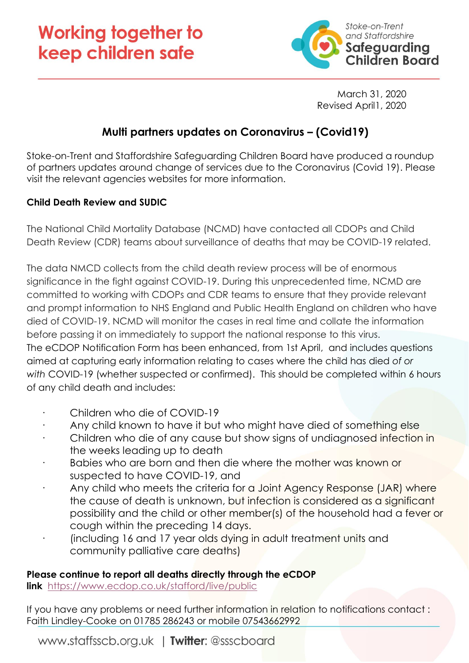## **Working together to** keep children safe



March 31, 2020 Revised April1, 2020

## **Multi partners updates on Coronavirus – (Covid19)**

Stoke-on-Trent and Staffordshire Safeguarding Children Board have produced a roundup of partners updates around change of services due to the Coronavirus (Covid 19). Please visit the relevant agencies websites for more information.

## **Child Death Review and SUDIC**

The National Child Mortality Database (NCMD) have contacted all CDOPs and Child Death Review (CDR) teams about surveillance of deaths that may be COVID-19 related.

The data NMCD collects from the child death review process will be of enormous significance in the fight against COVID-19. During this unprecedented time, NCMD are committed to working with CDOPs and CDR teams to ensure that they provide relevant and prompt information to NHS England and Public Health England on children who have died of COVID-19. NCMD will monitor the cases in real time and collate the information before passing it on immediately to support the national response to this virus. The eCDOP Notification Form has been enhanced, from 1st April, and includes questions aimed at capturing early information relating to cases where the child has died *of or with* COVID-19 (whether suspected or confirmed). This should be completed within 6 hours of any child death and includes:

- Children who die of COVID-19
- Any child known to have it but who might have died of something else
- Children who die of any cause but show signs of undiagnosed infection in the weeks leading up to death
- Babies who are born and then die where the mother was known or suspected to have COVID-19, and
- Any child who meets the criteria for a Joint Agency Response (JAR) where the cause of death is unknown, but infection is considered as a significant possibility and the child or other member(s) of the household had a fever or cough within the preceding 14 days.
- · (including 16 and 17 year olds dying in adult treatment units and community palliative care deaths)

## **Please continue to report all deaths directly through the eCDOP**

**link** <https://www.ecdop.co.uk/stafford/live/public>

If you have any problems or need further information in relation to notifications contact : Faith Lindley-Cooke on 01785 286243 or mobile 07543662992

www.staffsscb.org.uk | Twitter: @ssscboard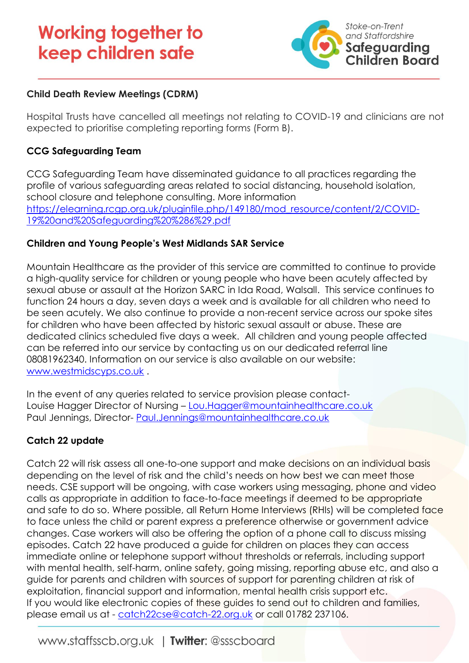# **Working together to** keep children safe



## **Child Death Review Meetings (CDRM)**

Hospital Trusts have cancelled all meetings not relating to COVID-19 and clinicians are not expected to prioritise completing reporting forms (Form B).

### **CCG Safeguarding Team**

CCG Safeguarding Team have disseminated guidance to all practices regarding the profile of various safeguarding areas related to social distancing, household isolation, school closure and telephone consulting. More information [https://elearning.rcgp.org.uk/pluginfile.php/149180/mod\\_resource/content/2/COVID-](https://elearning.rcgp.org.uk/pluginfile.php/149180/mod_resource/content/2/COVID-19%20and%20Safeguarding%20%286%29.pdf)[19%20and%20Safeguarding%20%286%29.pdf](https://elearning.rcgp.org.uk/pluginfile.php/149180/mod_resource/content/2/COVID-19%20and%20Safeguarding%20%286%29.pdf)

#### **Children and Young People's West Midlands SAR Service**

Mountain Healthcare as the provider of this service are committed to continue to provide a high-quality service for children or young people who have been acutely affected by sexual abuse or assault at the Horizon SARC in Ida Road, Walsall. This service continues to function 24 hours a day, seven days a week and is available for all children who need to be seen acutely. We also continue to provide a non-recent service across our spoke sites for children who have been affected by historic sexual assault or abuse. These are dedicated clinics scheduled five days a week. All children and young people affected can be referred into our service by contacting us on our dedicated referral line 08081962340. Information on our service is also available on our website: [www.westmidscyps.co.uk](http://www.westmidscyps.co.uk/) .

In the event of any queries related to service provision please contact-Louise Hagger Director of Nursing – [Lou.Hagger@mountainhealthcare.co.uk](mailto:Lou.Hagger@mountainhealthcare.co.uk) Paul Jennings, Director- [Paul.Jennings@mountainhealthcare.co.uk](mailto:Paul.Jennings@mountainhealthcare.co.uk)

## **Catch 22 update**

Catch 22 will risk assess all one-to-one support and make decisions on an individual basis depending on the level of risk and the child's needs on how best we can meet those needs. CSE support will be ongoing, with case workers using messaging, phone and video calls as appropriate in addition to face-to-face meetings if deemed to be appropriate and safe to do so. Where possible, all Return Home Interviews (RHIs) will be completed face to face unless the child or parent express a preference otherwise or government advice changes. Case workers will also be offering the option of a phone call to discuss missing episodes. Catch 22 have produced a guide for children on places they can access immediate online or telephone support without thresholds or referrals, including support with mental health, self-harm, online safety, going missing, reporting abuse etc, and also a guide for parents and children with sources of support for parenting children at risk of exploitation, financial support and information, mental health crisis support etc. If you would like electronic copies of these guides to send out to children and families, please email us at - [catch22cse@catch-22.org.uk](mailto:catch22cse@catch-22.org.uk) or call 01782 237106.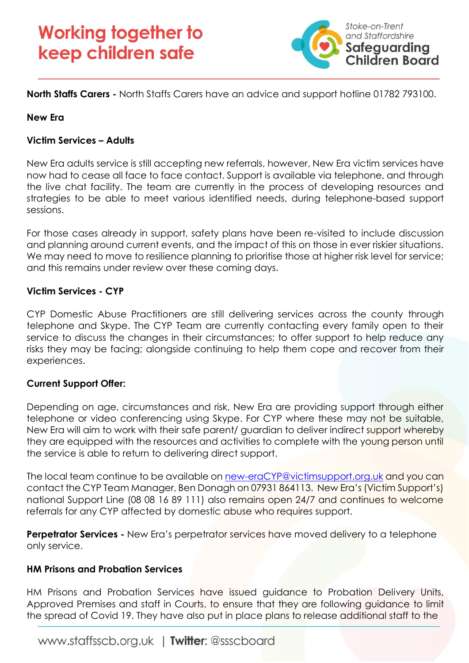

**North Staffs Carers -** North Staffs Carers have an advice and support hotline 01782 793100.

#### **New Era**

#### **Victim Services – Adults**

New Era adults service is still accepting new referrals, however, New Era victim services have now had to cease all face to face contact. Support is available via telephone, and through the live chat facility. The team are currently in the process of developing resources and strategies to be able to meet various identified needs, during telephone-based support sessions.

For those cases already in support, safety plans have been re-visited to include discussion and planning around current events, and the impact of this on those in ever riskier situations. We may need to move to resilience planning to prioritise those at higher risk level for service; and this remains under review over these coming days.

#### **Victim Services - CYP**

CYP Domestic Abuse Practitioners are still delivering services across the county through telephone and Skype. The CYP Team are currently contacting every family open to their service to discuss the changes in their circumstances; to offer support to help reduce any risks they may be facing; alongside continuing to help them cope and recover from their experiences.

#### **Current Support Offer:**

Depending on age, circumstances and risk, New Era are providing support through either telephone or video conferencing using Skype. For CYP where these may not be suitable, New Era will aim to work with their safe parent/ guardian to deliver indirect support whereby they are equipped with the resources and activities to complete with the young person until the service is able to return to delivering direct support.

The local team continue to be available on [new-eraCYP@victimsupport.org.uk](mailto:new-eraCYP@victimsupport.org.uk) and you can contact the CYP Team Manager, Ben Donagh on 07931 864113. New Era's (Victim Support's) national Support Line (08 08 16 89 111) also remains open 24/7 and continues to welcome referrals for any CYP affected by domestic abuse who requires support.

**Perpetrator Services -** New Era's perpetrator services have moved delivery to a telephone only service.

#### **HM Prisons and Probation Services**

HM Prisons and Probation Services have issued guidance to Probation Delivery Units, Approved Premises and staff in Courts, to ensure that they are following guidance to limit the spread of Covid 19. They have also put in place plans to release additional staff to the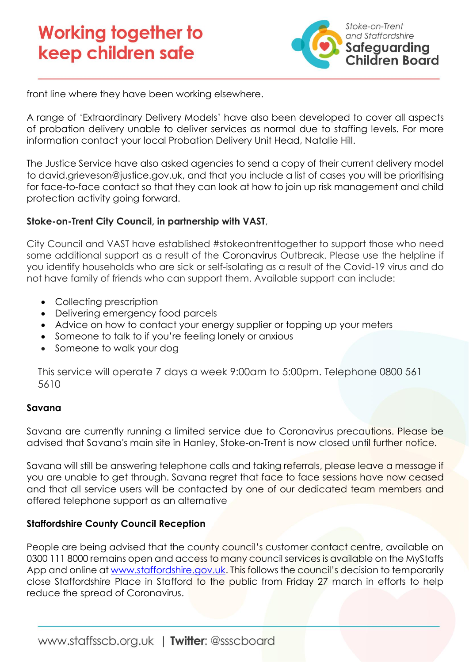

front line where they have been working elsewhere.

A range of 'Extraordinary Delivery Models' have also been developed to cover all aspects of probation delivery unable to deliver services as normal due to staffing levels. For more information contact your local Probation Delivery Unit Head, Natalie Hill.

The Justice Service have also asked agencies to send a copy of their current delivery model to [david.grieveson@justice.gov.uk,](mailto:david.grieveson@justice.gov.uk) and that you include a list of cases you will be prioritising for face-to-face contact so that they can look at how to join up risk management and child protection activity going forward.

#### **Stoke-on-Trent City Council, in partnership with VAST**,

City Council and VAST have established #stokeontrenttogether to support those who need some additional support as a result of the Coronavirus Outbreak. Please use the helpline if you identify households who are sick or self-isolating as a result of the Covid-19 virus and do not have family of friends who can support them. Available support can include:

- Collecting prescription
- Delivering emergency food parcels
- Advice on how to contact your energy supplier or topping up your meters
- Someone to talk to if you're feeling lonely or anxious
- Someone to walk your dog

This service will operate 7 days a week 9:00am to 5:00pm. Telephone 0800 561 5610

#### **Savana**

Savana are currently running a limited service due to Coronavirus precautions. Please be advised that Savana's main site in Hanley, Stoke-on-Trent is now closed until further notice.

Savana will still be answering telephone calls and taking referrals, please leave a message if you are unable to get through. Savana regret that face to face sessions have now ceased and that all service users will be contacted by one of our dedicated team members and offered telephone support as an alternative

#### **Staffordshire County Council Reception**

People are being advised that the county council's customer contact centre, available on 0300 111 8000 remains open and access to many council services is available on the MyStaffs App and online a[t www.staffordshire.gov.uk.](https://www.staffordshire.gov.uk/Homepage.aspx) This follows the council's decision to temporarily close Staffordshire Place in Stafford to the public from Friday 27 march in efforts to help reduce the spread of Coronavirus.